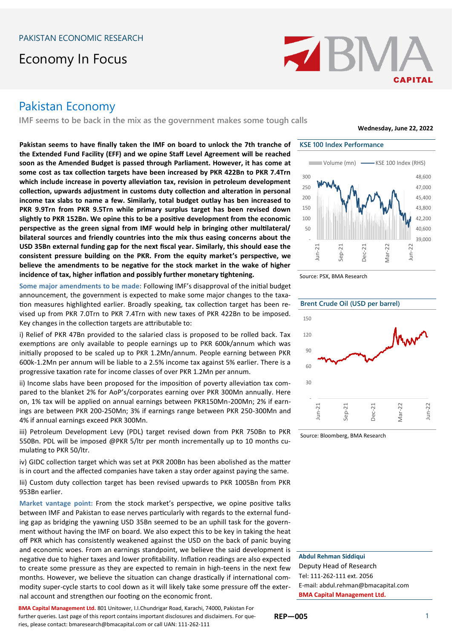# Economy In Focus



# Pakistan Economy

**IMF seems to be back in the mix as the government makes some tough calls**

**Pakistan seems to have finally taken the IMF on board to unlock the 7th tranche of the Extended Fund Facility (EFF) and we opine Staff Level Agreement will be reached soon as the Amended Budget is passed through Parliament. However, it has come at some cost as tax collection targets have been increased by PKR 422Bn to PKR 7.4Trn which include increase in poverty alleviation tax, revision in petroleum development collection, upwards adjustment in customs duty collection and alteration in personal income tax slabs to name a few. Similarly, total budget outlay has ben increased to PKR 9.9Trn from PKR 9.5Trn while primary surplus target has been revised down slightly to PKR 152Bn. We opine this to be a positive development from the economic perspective as the green signal from IMF would help in bringing other multilateral/ bilateral sources and friendly countries into the mix thus easing concerns about the USD 35Bn external funding gap for the next fiscal year. Similarly, this should ease the consistent pressure building on the PKR. From the equity market's perspective, we believe the amendments to be negative for the stock market in the wake of higher incidence of tax, higher inflation and possibly further monetary tightening.**

**Some major amendments to be made:** Following IMF's disapproval of the initial budget announcement, the government is expected to make some major changes to the taxation measures highlighted earlier. Broadly speaking, tax collection target has been revised up from PKR 7.0Trn to PKR 7.4Trn with new taxes of PKR 422Bn to be imposed. Key changes in the collection targets are attributable to:

i) Relief of PKR 47Bn provided to the salaried class is proposed to be rolled back. Tax exemptions are only available to people earnings up to PKR 600k/annum which was initially proposed to be scaled up to PKR 1.2Mn/annum. People earning between PKR 600k-1.2Mn per annum will be liable to a 2.5% income tax against 5% earlier. There is a progressive taxation rate for income classes of over PKR 1.2Mn per annum.

ii) Income slabs have been proposed for the imposition of poverty alleviation tax compared to the blanket 2% for AoP's/corporates earning over PKR 300Mn annually. Here on, 1% tax will be applied on annual earnings between PKR150Mn-200Mn; 2% if earnings are between PKR 200-250Mn; 3% if earnings range between PKR 250-300Mn and 4% if annual earnings exceed PKR 300Mn.

iii) Petroleum Development Levy (PDL) target revised down from PKR 750Bn to PKR 550Bn. PDL will be imposed @PKR 5/ltr per month incrementally up to 10 months cumulating to PKR 50/ltr.

iv) GIDC collection target which was set at PKR 200Bn has been abolished as the matter is in court and the affected companies have taken a stay order against paying the same.

Iii) Custom duty collection target has been revised upwards to PKR 1005Bn from PKR 953Bn earlier.

**Market vantage point:** From the stock market's perspective, we opine positive talks between IMF and Pakistan to ease nerves particularly with regards to the external funding gap as bridging the yawning USD 35Bn seemed to be an uphill task for the government without having the IMF on board. We also expect this to be key in taking the heat off PKR which has consistently weakened against the USD on the back of panic buying and economic woes. From an earnings standpoint, we believe the said development is negative due to higher taxes and lower profitability. Inflation readings are also expected to create some pressure as they are expected to remain in high-teens in the next few months. However, we believe the situation can change drastically if international commodity super-cycle starts to cool down as it will likely take some pressure off the external account and strengthen our footing on the economic front.

**BMA Capital Management Ltd.** 801 Unitower, I.I.Chundrigar Road, Karachi, 74000, Pakistan For further queries. Last page of this report contains important disclosures and disclaimers. For queries, please contact: bmaresearch@bmacapital.com or call UAN: 111-262-111



**Wednesday, June 22, 2022**

Source: PSX, BMA Research



Source: Bloomberg, BMA Research

**Abdul Rehman Siddiqui** Deputy Head of Research Tel: 111-262-111 ext. 2056 E-mail: abdul.rehman@bmacapital.com **BMA Capital Management Ltd.**